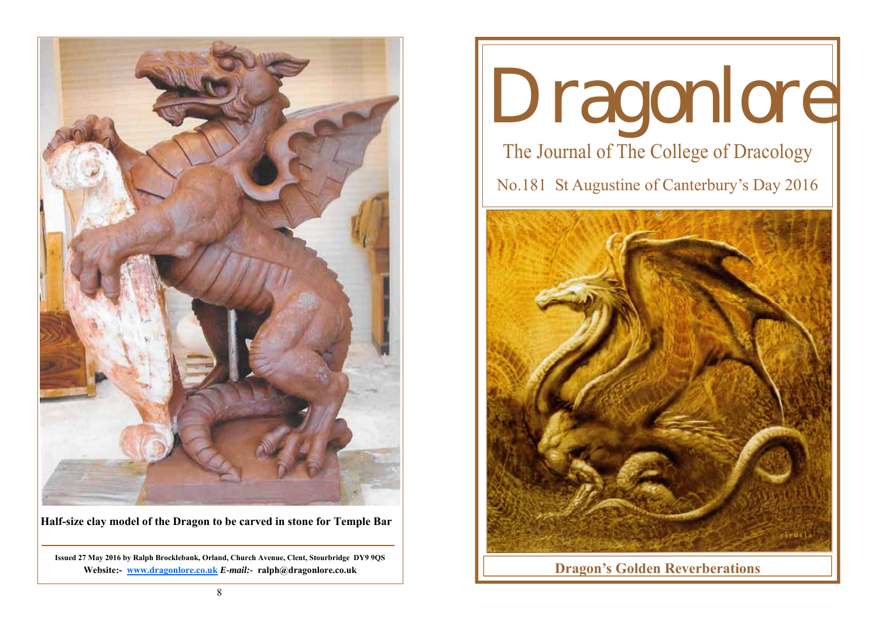

**Half-size clay model of the Dragon to be carved in stone for Temple Bar** 

**Issued 27 May 2016 by Ralph Brocklebank, Orland, Church Avenue, Clent, Stourbridge DY9 9QS Website:- www.dragonlore.co.uk** *E-mail:-* **ralph@dragonlore.co.uk**

# Dragonlore The Journal of The College of Dracology No.181 St Augustine of Canterbury's Day 2016



**Dragon's Golden Reverberations**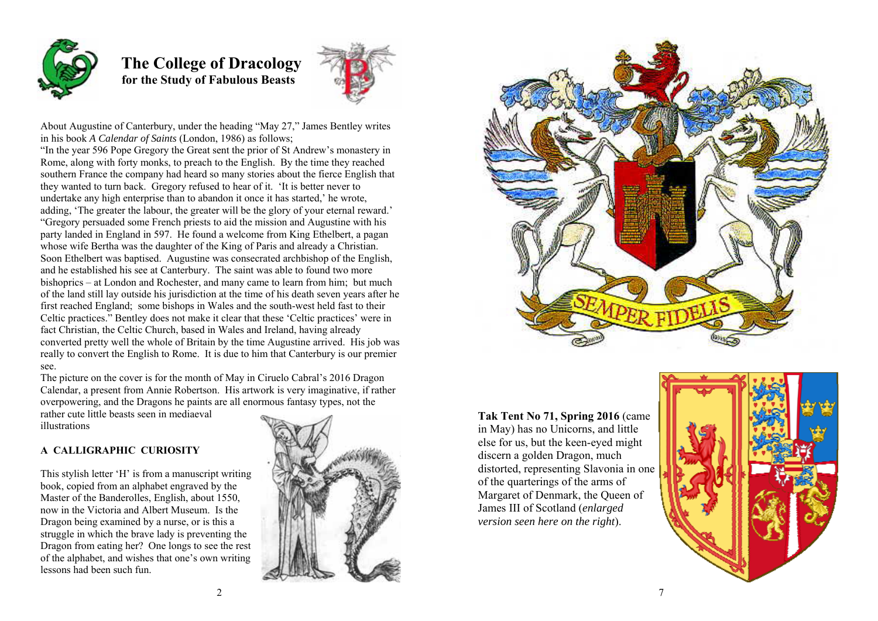

# **The College of Dracology for the Study of Fabulous Beasts**



About Augustine of Canterbury, under the heading "May 27," James Bentley writes in his book *A Calendar of Saints* (London, 1986) as follows;

"In the year 596 Pope Gregory the Great sent the prior of St Andrew's monastery in Rome, along with forty monks, to preach to the English. By the time they reached southern France the company had heard so many stories about the fierce English that they wanted to turn back. Gregory refused to hear of it. 'It is better never to undertake any high enterprise than to abandon it once it has started,' he wrote, adding, 'The greater the labour, the greater will be the glory of your eternal reward.' "Gregory persuaded some French priests to aid the mission and Augustine with his party landed in England in 597. He found a welcome from King Ethelbert, a pagan whose wife Bertha was the daughter of the King of Paris and already a Christian. Soon Ethelbert was baptised. Augustine was consecrated archbishop of the English, and he established his see at Canterbury. The saint was able to found two more bishoprics – at London and Rochester, and many came to learn from him; but much of the land still lay outside his jurisdiction at the time of his death seven years after he first reached England; some bishops in Wales and the south-west held fast to their Celtic practices." Bentley does not make it clear that these 'Celtic practices' were in fact Christian, the Celtic Church, based in Wales and Ireland, having already converted pretty well the whole of Britain by the time Augustine arrived. His job was really to convert the English to Rome. It is due to him that Canterbury is our premier see.

The picture on the cover is for the month of May in Ciruelo Cabral's 2016 Dragon Calendar, a present from Annie Robertson. His artwork is very imaginative, if rather overpowering, and the Dragons he paints are all enormous fantasy types, not the

rather cute little beasts seen in mediaeval illustrations

### **A CALLIGRAPHIC CURIOSITY**

This stylish letter 'H' is from a manuscript writing book, copied from an alphabet engraved by the Master of the Banderolles, English, about 1550, now in the Victoria and Albert Museum. Is the Dragon being examined by a nurse, or is this a struggle in which the brave lady is preventing the Dragon from eating her? One longs to see the rest of the alphabet, and wishes that one's own writing lessons had been such fun.





**Tak Tent No 71, Spring 2016** (came in May) has no Unicorns, and little else for us, but the keen-eyed might discern a golden Dragon, much distorted, representing Slavonia in one of the quarterings of the arms of Margaret of Denmark, the Queen of James III of Scotland (*enlarged version seen here on the right*).

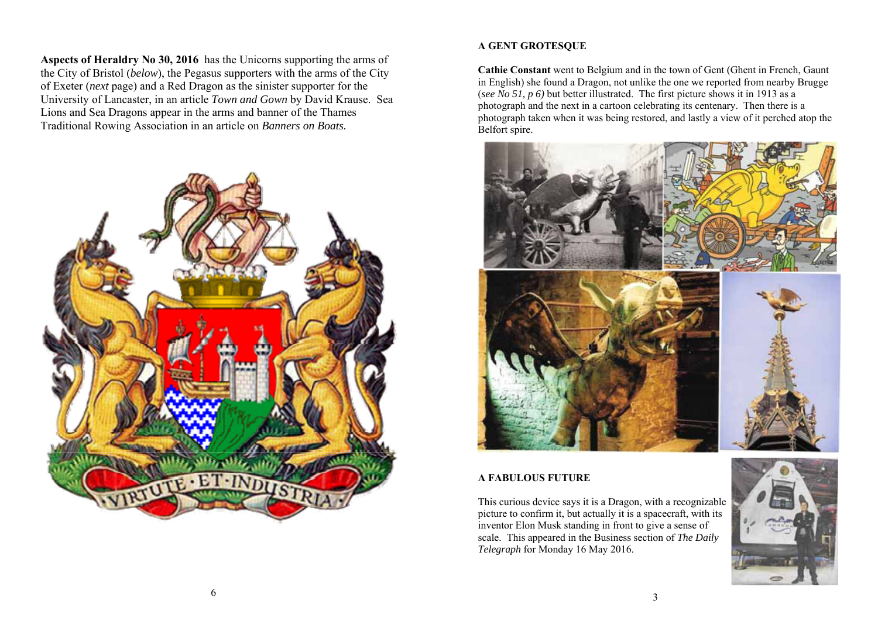**Aspects of Heraldry No 30, 2016** has the Unicorns supporting the arms of the City of Bristol (*below*), the Pegasus supporters with the arms of the City of Exeter (*next* page) and a Red Dragon as the sinister supporter for the University of Lancaster, in an article *Town and Gown* by David Krause. Sea Lions and Sea Dragons appear in the arms and banner of the Thames Traditional Rowing Association in an article on *Banners on Boats.* 



# **A GENT GROTESQUE**

**Cathie Constant** went to Belgium and in the town of Gent (Ghent in French, Gaunt in English) she found a Dragon, not unlike the one we reported from nearby Brugge (*see No 51, p 6)* but better illustrated. The first picture shows it in 1913 as a photograph and the next in a cartoon celebrating its centenary. Then there is a photograph taken when it was being restored, and lastly a view of it perched atop the Belfort spire.



# **A FABULOUS FUTURE**

This curious device says it is a Dragon, with a recognizable picture to confirm it, but actually it is a spacecraft, with its inventor Elon Musk standing in front to give a sense of scale. This appeared in the Business section of *The Daily Telegraph* for Monday 16 May 2016.